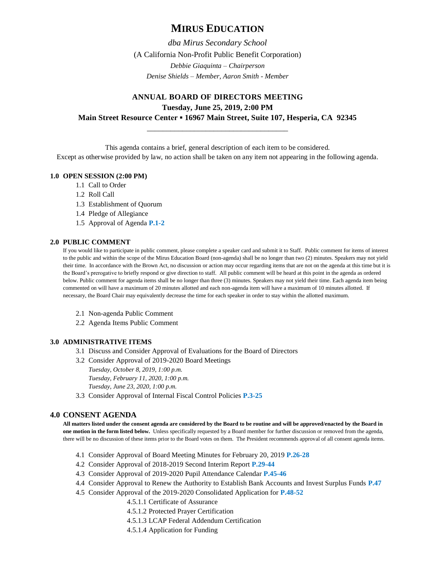# **MIRUS EDUCATION**

*dba Mirus Secondary School* (A California Non-Profit Public Benefit Corporation) *Debbie Giaquinta – Chairperson Denise Shields – Member, Aaron Smith - Member*

## **ANNUAL BOARD OF DIRECTORS MEETING Tuesday, June 25, 2019, 2:00 PM Main Street Resource Center ▪ 16967 Main Street, Suite 107, Hesperia, CA 92345**

\_\_\_\_\_\_\_\_\_\_\_\_\_\_\_\_\_\_\_\_\_\_\_\_\_\_\_\_\_\_\_\_\_\_\_\_

This agenda contains a brief, general description of each item to be considered.

Except as otherwise provided by law, no action shall be taken on any item not appearing in the following agenda.

## **1.0 OPEN SESSION (2:00 PM)**

- 1.1 Call to Order
- 1.2 Roll Call
- 1.3 Establishment of Quorum
- 1.4 Pledge of Allegiance
- 1.5 Approval of Agenda **P.1-2**

#### **2.0 PUBLIC COMMENT**

If you would like to participate in public comment, please complete a speaker card and submit it to Staff. Public comment for items of interest to the public and within the scope of the Mirus Education Board (non-agenda) shall be no longer than two (2) minutes. Speakers may not yield their time. In accordance with the Brown Act, no discussion or action may occur regarding items that are not on the agenda at this time but it is the Board's prerogative to briefly respond or give direction to staff. All public comment will be heard at this point in the agenda as ordered below. Public comment for agenda items shall be no longer than three (3) minutes. Speakers may not yield their time. Each agenda item being commented on will have a maximum of 20 minutes allotted and each non-agenda item will have a maximum of 10 minutes allotted. If necessary, the Board Chair may equivalently decrease the time for each speaker in order to stay within the allotted maximum.

- 2.1 Non-agenda Public Comment
- 2.2 Agenda Items Public Comment

#### **3.0 ADMINISTRATIVE ITEMS**

- 3.1 Discuss and Consider Approval of Evaluations for the Board of Directors
- 3.2 Consider Approval of 2019-2020 Board Meetings *Tuesday, October 8, 2019, 1:00 p.m.* 
	- *Tuesday, February 11, 2020, 1:00 p.m.*
	- *Tuesday, June 23, 2020, 1:00 p.m.*
- 3.3 Consider Approval of Internal Fiscal Control Policies **P.3-25**

## **4.0 CONSENT AGENDA**

**All matters listed under the consent agenda are considered by the Board to be routine and will be approved/enacted by the Board in one motion in the form listed below.** Unless specifically requested by a Board member for further discussion or removed from the agenda, there will be no discussion of these items prior to the Board votes on them. The President recommends approval of all consent agenda items.

- 4.1 Consider Approval of Board Meeting Minutes for February 20, 2019 **P.26-28**
- 4.2 Consider Approval of 2018-2019 Second Interim Report **P.29-44**
- 4.3 Consider Approval of 2019-2020 Pupil Attendance Calendar **P.45-46**
- 4.4 Consider Approval to Renew the Authority to Establish Bank Accounts and Invest Surplus Funds **P.47**
- 4.5 Consider Approval of the 2019-2020 Consolidated Application for **P.48-52**
	- 4.5.1.1 Certificate of Assurance
	- 4.5.1.2 Protected Prayer Certification
	- 4.5.1.3 LCAP Federal Addendum Certification
	- 4.5.1.4 Application for Funding